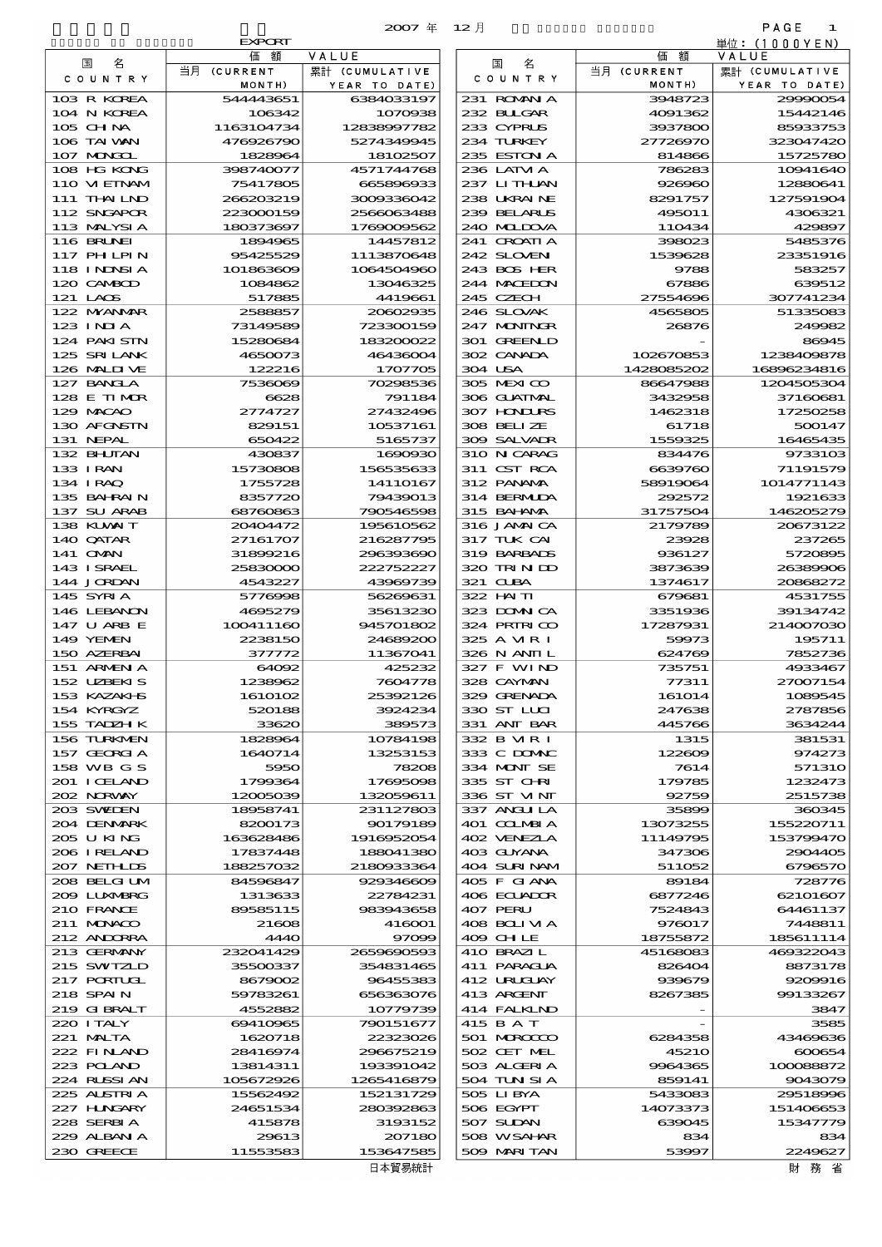|                              |                         | 2007年 12月                 |                             |                          | PAGE<br>-1              |
|------------------------------|-------------------------|---------------------------|-----------------------------|--------------------------|-------------------------|
|                              | <b>EXPORT</b>           |                           |                             |                          | 単位:(1000YEN)            |
| 名<br>国                       | 額<br>価<br>当月 (CURRENT   | VALUE<br>累計 (CUMULATIVE   | 名<br>国                      | 価<br>額<br>当月 (CURRENT    | VALUE<br>累計 (CUMULATIVE |
| COUNTRY                      | MONTH)                  | YEAR TO DATE)             | COUNTRY                     | MONTH)                   | YEAR TO DATE)           |
| 103 R KOREA                  | 544443651               | 6384033197                | 231 ROMNA                   | 3948723                  | 29990054                |
| 104 N KOREA                  | 106342                  | 1070938                   | 232 BUGAR                   | 4091362                  | 15442146                |
| 105 CHNA<br>106 TAI WAN      | 1163104734<br>476926790 | 12838997782<br>5274349945 | 233 CYPRUS<br>234 TURKEY    | 3937800<br>27726970      | 85933753<br>323047420   |
| 107 MONGOL                   | 1828964                 | 18102507                  | 235 ESTON A                 | 814866                   | 15725780                |
| 108 HG KONG                  | 398740077               | 4571744768                | 236 LATM A                  | 786283                   | 10941640                |
| 110 VIEINAM                  | 75417805                | 665896933                 | 237 LITHAN                  | 926960                   | 12880641                |
| 111 THAILND                  | 266203219               | 3009336042                | 238 UKRAINE                 | 8291757                  | 127591904               |
| 112 SNGAPOR<br>113 MALYSIA   | 223000159<br>180373697  | 2566063488<br>1769009562  | 239 BELARUS<br>240 MIDOVA   | 495011<br>110434         | 4306321<br>429897       |
| 116 BRUNEI                   | 1894965                 | 14457812                  | 241 GROATIA                 | 398023                   | 5485376                 |
| 117 PHLPIN                   | 95425529                | 1113870648                | 242 SLOVENI                 | 1539628                  | 23351916                |
| 118 I NDSI A                 | 101863609               | 1064504960                | 243 BOS HER                 | 9788                     | 583257                  |
| 120 CAMBOD                   | 1084862                 | 13046325                  | 244 MACEDON                 | 67886                    | 639512                  |
| 121 LAOS<br>122 MYANMAR      | 517885<br>2588857       | 4419661<br>20602935       | 245 CZECH<br>246 SLOVAK     | 27554696<br>4565805      | 307741234<br>5133508    |
| 123 INJA                     | 73149589                | 723300159                 | 247 MONINGR                 | 26876                    | 249982                  |
| 124 PAKISTN                  | 15280684                | 183200022                 | 301 GREENLD                 |                          | 86945                   |
| 125 SRILANK                  | 4650073                 | 46436004                  | 302 CANADA                  | 102670853                | 1238409878              |
| 126 MALINE                   | 122216                  | 1707705                   | 304 USA                     | 1428085202               | 16896234816             |
| 127 BANCLA<br>128 E TIMOR    | 7536069<br>6628         | 70298536<br>791184        | 305 MEXICO<br>306 GUATMAL   | 86647988<br>3432958      | 1204505304<br>37160681  |
| 129 MACAO                    | 2774727                 | 27432496                  | 307 HONDURS                 | 1462318                  | 17250258                |
| 130 AFGNSTN                  | 829151                  | 10537161                  | 308 BELIZE                  | 61718                    | 500147                  |
| 131 NEPAL                    | 650422                  | 5165737                   | 309 SALVAIR                 | 1559325                  | 16465435                |
| 132 BHUTAN                   | 430837                  | 1690930                   | 310 N CARAG                 | 834476                   | 9733103                 |
| 133 IRAN<br>134 I RAQ        | 15730808<br>1755728     | 156535633<br>14110167     | 311 CST RCA<br>312 PANAMA   | 6639760<br>58919064      | 71191579<br>1014771143  |
| 135 BAHRAIN                  | 8357720                 | 79439013                  | 314 BERMIDA                 | 292572                   | 1921633                 |
| 137 SU ARAB                  | 68760863                | 790546598                 | 315 BAHAMA                  | 31757504                 | 146205279               |
| 138 KUWAIT                   | 20404472                | 195610562                 | 316 JAMAICA                 | 2179789                  | 20673122                |
| 140 QATAR                    | 27161707                | 216287795                 | 317 TUK CAI                 | 23928                    | 237265                  |
| 141 <b>OMN</b><br>143 ISRAEL | 31899216<br>25830000    | 296393690<br>222752227    | 319 BARBADS<br>320 TRINDO   | 936127<br>3873639        | 5720895<br>26389900     |
| 144 JORDAN                   | 4543227                 | 43969739                  | 321 CUBA                    | 1374617                  | 20868272                |
| 145 SYRIA                    | 5776998                 | 56269631                  | 322 HAITI                   | 679681                   | 4531755                 |
| 146 LEBANON                  | 4695279                 | 35613230                  | 323 DOMNICA                 | 3351936                  | 39134742                |
| 147 U ARB E                  | 100411160               | 945701802                 | 324 PRIRICO                 | 17287931                 | 214007030               |
| 149 YEMEN<br>150 AZERBAI     | 2238150<br>377772       | 24689200<br>11367041      | 325 A VIR I<br>326 N ANII L | 59973<br>624769          | 195711<br>7852730       |
| 151 ARMENIA                  | 64092                   | 425232                    | 327 F WIND                  | 735751                   | 4933467                 |
| 152 UZBEKIS                  | 1238962                 | 7604778                   | 328 CAYMAN                  | 77311                    | 27007154                |
| 153 KAZAKI-IS                | 1610102                 | 25392126                  | 329 GRENADA                 | 161014                   | 1089545                 |
| 154 KYRGYZ                   | 520188                  | 3924234                   | 330 ST LUI                  | 247638                   | 2787856                 |
| 155 TADZH K<br>156 TURKNEN   | 33620<br>1828964        | 389573<br>10784198        | 331 ANT BAR<br>332 B MR I   | 445766<br>1315           | 3634244<br>381531       |
| 157 GEORGIA                  | 1640714                 | 13253153                  | 333 C DOMAC                 | 122609                   | 974273                  |
| 158 WB G S                   | 5950                    | 78208                     | 334 MONT SE                 | 7614                     | 571310                  |
| 201 I CELAND                 | 1799364                 | 17695098                  | 335 ST CHRI                 | 179785                   | 1232473                 |
| 202 NORWAY<br>203 SWIDEN     | 12005039<br>18958741    | 132059611<br>231127803    | 336 ST VINT<br>337 ANGLILA  | 92759<br>35899           | 2515738<br>360345       |
| 204 DENMARK                  | 8200173                 | 90179189                  | 401 COLMBIA                 | 13073255                 | 155220711               |
| 205 U KING                   | 163628486               | 1916952054                | 402 VENEZIA                 | 11149795                 | 153799470               |
| 206 I RELAND                 | 17837448                | 188041380                 | 403 GUYANA                  | 347306                   | <b>2904405</b>          |
| 207 NETH LDS                 | 188257032               | 2180933364                | 404 SURINAM                 | 511052                   | 6796570                 |
| 208 BELGI UM<br>2009 LUNABRG | 84596847<br>1313633     | 929346609<br>22784231     | 405 F GIANA<br>406 ECUADOR  | 89184<br>6877246         | 728776<br>62101607      |
| 210 FRANCE                   | 89585115                | 983943658                 | 407 PERU                    | 7524843                  | 64461137                |
| 211 MUNACO                   | 21608                   | 416001                    | 408 BOLIVIA                 | 976017                   | 7448811                 |
| 212 ANDORRA                  | 4440                    | 97099                     | 409 CHLE                    | 18755872                 | 185611114               |
| 213 GERMANY                  | 232041429               | 2659690593                | 410 BRAZIL                  | 45168083                 | 469322043               |
| 215 SWIZLD<br>217 PORTUGL    | 35500337<br>8679002     | 354831465<br>96455383     | 411 PARAGUA<br>412 URUCUAY  | 826404<br>939679         | 8873178<br>9209916      |
| 218 SPAIN                    | 59783261                | 656363076                 | 413 ARCENT                  | 8267385                  | 99133267                |
| 219 GIBRALT                  | 4552882                 | 10779739                  | 414 FALKLND                 | $\overline{\phantom{a}}$ | 3847                    |
| 220 I TALY                   | 69410965                | 790151677                 | 415 B A T                   |                          | 3585                    |
| 221 MALTA                    | 1620718                 | 22323026                  | 501 MROCCO                  | 6284358                  | 43469636                |
| 222 FINAND<br>223 POLAND     | 28416974<br>13814311    | 296675219<br>193391042    | 502 CET MEL<br>503 ALGERIA  | <b>45210</b><br>9964365  | 600654<br>100088872     |
| 224 RUSSI AN                 | 105672926               | 1265416879                | 504 TUN SI A                | 859141                   | 9043079                 |
| 225 ALSTRIA                  | 15562492                | 152131729                 | 505 LIBYA                   | 5433083                  | 29518996                |
| 227 HUNGARY                  | 24651534                | 280392863                 | 506 EGYPT                   | 14073373                 | 151406653               |
| 228 SERBIA<br>229 ALBAN A    | 415878<br>29613         | 3193152                   | 507 SUDAN                   | 639045<br>834            | 15347779                |
| 230 GREECE                   | 11553583                | 207180<br>153647585       | 508 WSAHAR<br>509 MARI TAN  | 53997                    | 834<br>2249627          |
|                              |                         | 日本貿易統計                    |                             |                          | 財 務 省                   |

|                      | 当月 (CURRENT  | 累計 (CUMULATIVE |
|----------------------|--------------|----------------|
| C O U N T R Y        | MONTH)       | YEAR TO DATE)  |
| 231 ROMANIA          | 3948723      | 29990054       |
| 232 BULGAR           | 4091362      | 15442146       |
|                      |              |                |
| 233 CYPRUS           | 3937800      | 85933753       |
| 234 TURKEY           | 27726970     | 323047420      |
| 235 ESTON A          | 814866       | 15725780       |
| 236 LATVI A          | 786283       | 10941640       |
| 237 LITHAN           | 926960       | 12880641       |
| 238 UKRAINE          | 8291757      | 127591904      |
| 239 BELARUS          | 495011       | 4306321        |
| 240 MIDOVA           | 110434       | 429897         |
| 241 GROATIA          | 398023       | 5485376        |
| 242 SLOVEN           | 1539628      | 23351916       |
| 243 BOS HER          | 9788         | 583257         |
|                      |              |                |
| 244 MACEDON          | 67886        | 639512         |
| 245 CZECH            | 27554696     | 307741234      |
| 246 SLOVAK           | 4565805      | 51335083       |
| 247 MONINGR          | 26876        | 249982         |
| 301 GREENLD          |              | 86945          |
| 302 CANADA           | 102670853    | 1238409878     |
| 304 USA              | 1428085202   | 16896234816    |
| 305 MEXICO           | 86647988     | 1204505304     |
| 306 GUATMAL          | 3432958      | 37160681       |
| <b>307 HONLIES</b>   | 1462318      | 17250258       |
|                      |              |                |
| 308 BELIZE           | 61718        | 500147         |
| 309 SALVADR          | 1559325      | 16465435       |
| 310 N CARAG          | 834476       | 9733103        |
| 311 CST RCA          | 6639760      | 71191579       |
| 312 PANAMA           | 58919064     | 1014771143     |
| 314 BERMUDA          | 292572       | 1921633        |
| 315 BAHANAA          | 31757504     | 146205279      |
| 316 JAMAICA          | 2179789      | 20673122       |
| 317 TUK CAI          | 23928        | 237265         |
| 319 BARBADS          | 936127       | 5720895        |
| 320 TRINDO           | 3873639      | 26389906       |
|                      |              |                |
| 321 CLBA             | 1374617      | 20868272       |
| 322 HAITI            | 679681       | 4531755        |
| 323 DOMNICA          | 3351936      | 39134742       |
| 324 PRIRICO          | 17287931     | 214007030      |
| 325 A MR I           | 59973        | 195711         |
| 326 N ANII L         | 624769       | 7852736        |
| 327 F WIND           | 735751       | 4933467        |
| 328 CAYMAN           | 77311        | 27007154       |
| 329 GRENADA          | 161014       | 1089545        |
| 330 ST LUI           | 247638       | 2787856        |
| 331 ANT BAR          | 445766       | 3634244        |
|                      |              |                |
| 332 B VIR I          | 1315         | 381531         |
| 333 C DOMAC          | 122609       | 974273         |
| 334 MONT SE          | 7614         | 571310         |
| 335 ST CHRI          | 179785       | 1232473        |
| 336 ST VINT          | 92759        | 2515738        |
| 337 ANGLILA          | 35899        | 360345         |
| 401 COLMBIA          | 13073255     | 155220711      |
| 102 VENEZIA          | 11149795     | 153799470      |
| 103 GUYANA           | 347306       | 2904405        |
| <b>104 SURINAM</b>   | 511052       | 6796570        |
| 105 F GIANA          | 89184        | 728776         |
|                      | 6877246      |                |
| 106 ECUADOR          |              | 62101607       |
| 107 PERU             | 7524843      | 64461137       |
| <b>108 BOLI VI A</b> | 976017       | 7448811        |
| 109 CH LE            | 18755872     | 185611114      |
| 410 BRAZI L          | 45168083     | 469322043      |
| 411 PARAGUA          | 826404       | 8873178        |
| 412 URUJAY           | 939679       | 9209916        |
| 413 ARCENT           | 8267385      | 99133267       |
| <b>414 FALKLND</b>   |              | 3847           |
| 415 B A T            |              | 3585           |
| 501 MAROCCO          | 6284358      | 43469636       |
|                      |              |                |
| 502 CET MEL          | <b>45210</b> | 600654         |
| 503 ALGERIA          | 9964365      | 100088872      |
| 504 TUN SI A         | 859141       | 9043079        |
| 505 LIBYA            | 5433083      | 29518996       |
| 506 EGYPT            | 14073373     | 151406653      |
| 507 SUDAN            | 639045       | 15347779       |
| 508 WSAHAR           | 834          | 834            |
|                      | 53997        | 2249627        |